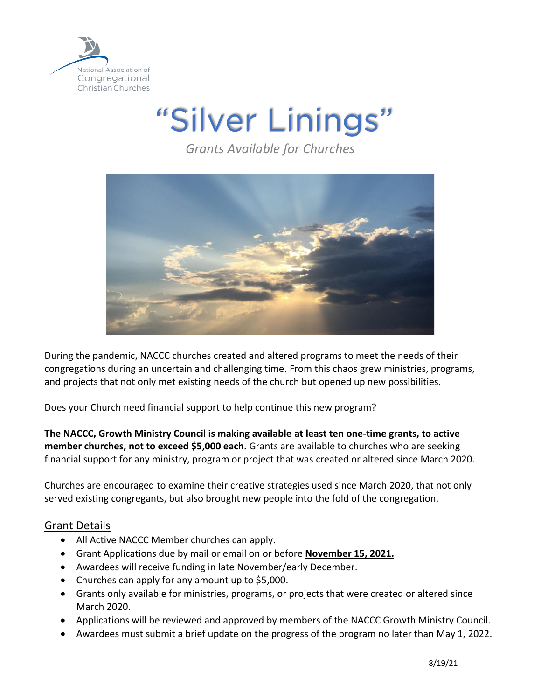

"Silver Linings"

*Grants Available for Churches*



During the pandemic, NACCC churches created and altered programs to meet the needs of their congregations during an uncertain and challenging time. From this chaos grew ministries, programs, and projects that not only met existing needs of the church but opened up new possibilities.

Does your Church need financial support to help continue this new program?

**The NACCC, Growth Ministry Council is making available at least ten one-time grants, to active member churches, not to exceed \$5,000 each.** Grants are available to churches who are seeking financial support for any ministry, program or project that was created or altered since March 2020.

Churches are encouraged to examine their creative strategies used since March 2020, that not only served existing congregants, but also brought new people into the fold of the congregation.

### Grant Details

- All Active NACCC Member churches can apply.
- Grant Applications due by mail or email on or before **November 15, 2021.**
- Awardees will receive funding in late November/early December.
- Churches can apply for any amount up to \$5,000.
- Grants only available for ministries, programs, or projects that were created or altered since March 2020.
- Applications will be reviewed and approved by members of the NACCC Growth Ministry Council.
- Awardees must submit a brief update on the progress of the program no later than May 1, 2022.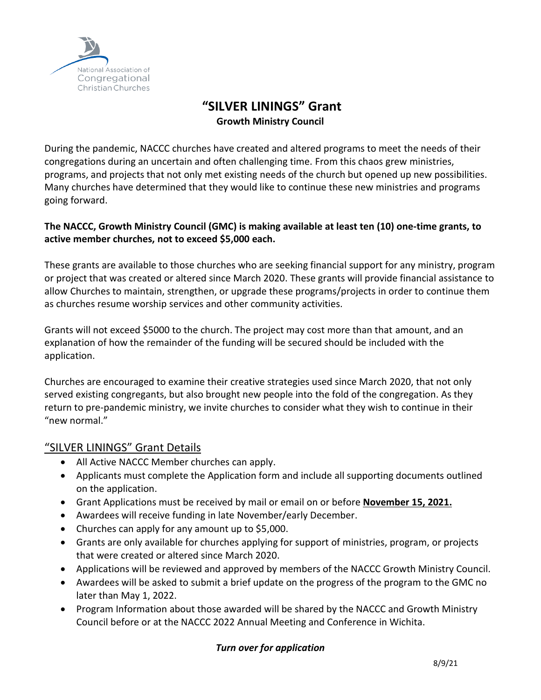

# **"SILVER LININGS" Grant Growth Ministry Council**

During the pandemic, NACCC churches have created and altered programs to meet the needs of their congregations during an uncertain and often challenging time. From this chaos grew ministries, programs, and projects that not only met existing needs of the church but opened up new possibilities. Many churches have determined that they would like to continue these new ministries and programs going forward.

### **The NACCC, Growth Ministry Council (GMC) is making available at least ten (10) one-time grants, to active member churches, not to exceed \$5,000 each.**

These grants are available to those churches who are seeking financial support for any ministry, program or project that was created or altered since March 2020. These grants will provide financial assistance to allow Churches to maintain, strengthen, or upgrade these programs/projects in order to continue them as churches resume worship services and other community activities.

Grants will not exceed \$5000 to the church. The project may cost more than that amount, and an explanation of how the remainder of the funding will be secured should be included with the application.

Churches are encouraged to examine their creative strategies used since March 2020, that not only served existing congregants, but also brought new people into the fold of the congregation. As they return to pre-pandemic ministry, we invite churches to consider what they wish to continue in their "new normal."

## "SILVER LININGS" Grant Details

- All Active NACCC Member churches can apply.
- Applicants must complete the Application form and include all supporting documents outlined on the application.
- Grant Applications must be received by mail or email on or before **November 15, 2021.**
- Awardees will receive funding in late November/early December.
- Churches can apply for any amount up to \$5,000.
- Grants are only available for churches applying for support of ministries, program, or projects that were created or altered since March 2020.
- Applications will be reviewed and approved by members of the NACCC Growth Ministry Council.
- Awardees will be asked to submit a brief update on the progress of the program to the GMC no later than May 1, 2022.
- Program Information about those awarded will be shared by the NACCC and Growth Ministry Council before or at the NACCC 2022 Annual Meeting and Conference in Wichita.

### *Turn over for application*